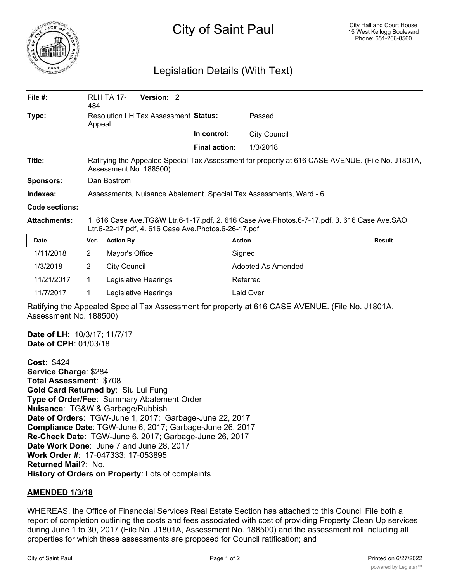

## City of Saint Paul

## Legislation Details (With Text)

| File $#$ :          | 484                                                                                                                                                | <b>RLH TA 17-</b>   | Version: 2           |                      |                     |               |
|---------------------|----------------------------------------------------------------------------------------------------------------------------------------------------|---------------------|----------------------|----------------------|---------------------|---------------|
| Type:               | Resolution LH Tax Assessment Status:<br>Appeal                                                                                                     |                     |                      |                      | Passed              |               |
|                     |                                                                                                                                                    |                     |                      | In control:          | <b>City Council</b> |               |
|                     |                                                                                                                                                    |                     |                      | <b>Final action:</b> | 1/3/2018            |               |
| Title:              | Ratifying the Appealed Special Tax Assessment for property at 616 CASE AVENUE. (File No. J1801A,<br>Assessment No. 188500)                         |                     |                      |                      |                     |               |
| <b>Sponsors:</b>    | Dan Bostrom                                                                                                                                        |                     |                      |                      |                     |               |
| Indexes:            | Assessments, Nuisance Abatement, Special Tax Assessments, Ward - 6                                                                                 |                     |                      |                      |                     |               |
| Code sections:      |                                                                                                                                                    |                     |                      |                      |                     |               |
| <b>Attachments:</b> | 1. 616 Case Ave.TG&W Ltr.6-1-17.pdf, 2. 616 Case Ave.Photos.6-7-17.pdf, 3. 616 Case Ave.SAO<br>Ltr.6-22-17.pdf, 4. 616 Case Ave.Photos.6-26-17.pdf |                     |                      |                      |                     |               |
| <b>Date</b>         | Ver.                                                                                                                                               | <b>Action By</b>    |                      |                      | <b>Action</b>       | <b>Result</b> |
| 1/11/2018           | $\overline{2}$                                                                                                                                     | Mayor's Office      |                      |                      | Signed              |               |
| 1/3/2018            | 2                                                                                                                                                  | <b>City Council</b> |                      |                      | Adopted As Amended  |               |
| 11/21/2017          | 1.                                                                                                                                                 |                     | Legislative Hearings |                      | Referred            |               |

Ratifying the Appealed Special Tax Assessment for property at 616 CASE AVENUE. (File No. J1801A, Assessment No. 188500)

**Date of LH**: 10/3/17; 11/7/17 **Date of CPH**: 01/03/18

**Cost**: \$424 **Service Charge**: \$284 **Total Assessment**: \$708 **Gold Card Returned by**: Siu Lui Fung **Type of Order/Fee**: Summary Abatement Order **Nuisance**: TG&W & Garbage/Rubbish **Date of Orders**: TGW-June 1, 2017; Garbage-June 22, 2017 **Compliance Date**: TGW-June 6, 2017; Garbage-June 26, 2017 **Re-Check Date**: TGW-June 6, 2017; Garbage-June 26, 2017 **Date Work Done**: June 7 and June 28, 2017 **Work Order #**: 17-047333; 17-053895 **Returned Mail?**: No. **History of Orders on Property**: Lots of complaints

11/7/2017 1 Legislative Hearings Laid Over

## **AMENDED 1/3/18**

WHEREAS, the Office of Finanqcial Services Real Estate Section has attached to this Council File both a report of completion outlining the costs and fees associated with cost of providing Property Clean Up services during June 1 to 30, 2017 (File No. J1801A, Assessment No. 188500) and the assessment roll including all properties for which these assessments are proposed for Council ratification; and